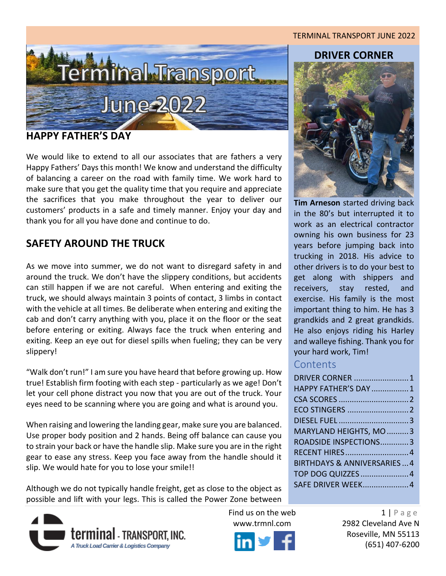# erminal Transport June 2022

#### <span id="page-0-0"></span>**HAPPY FATHER'S DAY**

We would like to extend to all our associates that are fathers a very Happy Fathers' Days this month! We know and understand the difficulty of balancing a career on the road with family time. We work hard to make sure that you get the quality time that you require and appreciate the sacrifices that you make throughout the year to deliver our customers' products in a safe and timely manner. Enjoy your day and thank you for all you have done and continue to do.

# **SAFETY AROUND THE TRUCK**

As we move into summer, we do not want to disregard safety in and around the truck. We don't have the slippery conditions, but accidents can still happen if we are not careful. When entering and exiting the truck, we should always maintain 3 points of contact, 3 limbs in contact with the vehicle at all times. Be deliberate when entering and exiting the cab and don't carry anything with you, place it on the floor or the seat before entering or exiting. Always face the truck when entering and exiting. Keep an eye out for diesel spills when fueling; they can be very slippery!

"Walk don't run!" I am sure you have heard that before growing up. How true! Establish firm footing with each step - particularly as we age! Don't let your cell phone distract you now that you are out of the truck. Your eyes need to be scanning where you are going and what is around you.

When raising and lowering the landing gear, make sure you are balanced. Use proper body position and 2 hands. Being off balance can cause you to strain your back or have the handle slip. Make sure you are in the right gear to ease any stress. Keep you face away from the handle should it slip. We would hate for you to lose your smile!!

Although we do not typically handle freight, get as close to the object as possible and lift with your legs. This is called the Power Zone between





#### TERMINAL TRANSPORT JUNE 2022

#### **DRIVER CORNER**



**Tim Arneson** started driving back in the 80's but interrupted it to work as an electrical contractor owning his own business for 23 years before jumping back into trucking in 2018. His advice to other drivers is to do your best to get along with shippers and receivers, stay rested, and exercise. His family is the most important thing to him. He has 3 grandkids and 2 great grandkids. He also enjoys riding his Harley and walleye fishing. Thank you for your hard work, Tim!

#### **Contents**

| DRIVER CORNER  1                      |
|---------------------------------------|
| <b>HAPPY FATHER'S DAY 1</b>           |
|                                       |
|                                       |
|                                       |
| MARYLAND HEIGHTS, MO 3                |
| ROADSIDE INSPECTIONS3                 |
| RECENT HIRES 4                        |
| <b>BIRTHDAYS &amp; ANNIVERSARIES4</b> |
| TOP DOG QUIZZES  4                    |
| SAFE DRIVER WEEK 4                    |

Find us on the web  $1 | P \text{ a } g e$ www.trmnl.com 2982 Cleveland Ave N Roseville, MN 55113 (651) 407-6200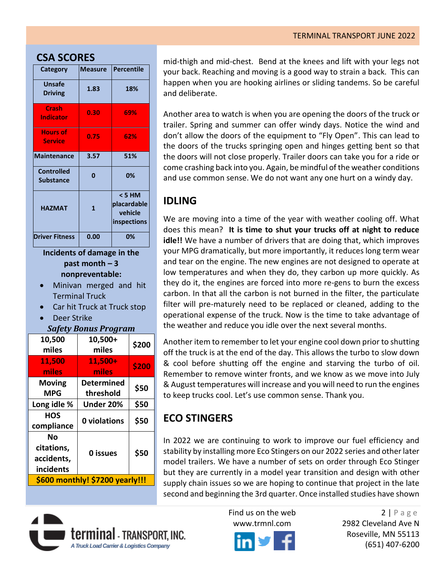#### **CSA SCORES**

| Category                              | <b>Measure</b> | <b>Percentile</b>                               |
|---------------------------------------|----------------|-------------------------------------------------|
| <b>Unsafe</b><br><b>Driving</b>       | 1.83           | 18%                                             |
| <b>Crash</b><br><b>Indicator</b>      | 0.30           | 69%                                             |
| <b>Hours of</b><br><b>Service</b>     | 0.75           | 62%                                             |
| <b>Maintenance</b>                    | 3.57           | 51%                                             |
| <b>Controlled</b><br><b>Substance</b> | 0              | 0%                                              |
| <b>HAZMAT</b>                         | $\mathbf{1}$   | < 5 HM<br>placardable<br>vehicle<br>inspections |
| <b>Driver Fitness</b>                 | 0.00           | 0%                                              |

**Incidents of damage in the past month – 3 nonpreventable:**

- Minivan merged and hit Terminal Truck
- Car hit Truck at Truck stop
- Deer Strike

#### *Safety Bonus Program*

| 10,500<br>miles                 | 10,500+<br>miles  | \$200 |  |
|---------------------------------|-------------------|-------|--|
| 11,500                          | 11,500+           | \$200 |  |
| miles                           | miles             |       |  |
| <b>Moving</b>                   | <b>Determined</b> | \$50  |  |
| <b>MPG</b>                      | threshold         |       |  |
| Long idle %                     | Under 20%         | \$50  |  |
| HOS                             | 0 violations      | \$50  |  |
| compliance                      |                   |       |  |
| Nο                              |                   |       |  |
| citations,                      | 0 issues          | \$50  |  |
| accidents,                      |                   |       |  |
| incidents                       |                   |       |  |
| \$600 monthly! \$7200 yearly!!! |                   |       |  |

mid-thigh and mid-chest. Bend at the knees and lift with your legs not your back. Reaching and moving is a good way to strain a back. This can happen when you are hooking airlines or sliding tandems. So be careful and deliberate.

Another area to watch is when you are opening the doors of the truck or trailer. Spring and summer can offer windy days. Notice the wind and don't allow the doors of the equipment to "Fly Open". This can lead to the doors of the trucks springing open and hinges getting bent so that the doors will not close properly. Trailer doors can take you for a ride or come crashing back into you. Again, be mindful of the weather conditions and use common sense. We do not want any one hurt on a windy day.

# **IDLING**

We are moving into a time of the year with weather cooling off. What does this mean? **It is time to shut your trucks off at night to reduce idle!!** We have a number of drivers that are doing that, which improves your MPG dramatically, but more importantly, it reduces long term wear and tear on the engine. The new engines are not designed to operate at low temperatures and when they do, they carbon up more quickly. As they do it, the engines are forced into more re-gens to burn the excess carbon. In that all the carbon is not burned in the filter, the particulate filter will pre-maturely need to be replaced or cleaned, adding to the operational expense of the truck. Now is the time to take advantage of the weather and reduce you idle over the next several months.

Another item to remember to let your engine cool down prior to shutting off the truck is at the end of the day. This allows the turbo to slow down & cool before shutting off the engine and starving the turbo of oil. Remember to remove winter fronts, and we know as we move into July & August temperatures will increase and you will need to run the engines to keep trucks cool. Let's use common sense. Thank you.

# <span id="page-1-0"></span>**ECO STINGERS**

In 2022 we are continuing to work to improve our fuel efficiency and stability by installing more Eco Stingers on our 2022 series and other later model trailers. We have a number of sets on order through Eco Stinger but they are currently in a model year transition and design with other supply chain issues so we are hoping to continue that project in the late second and beginning the 3rd quarter. Once installed studies have shown





Find us on the web 2 | P a g e www.trmnl.com 2982 Cleveland Ave N Roseville, MN 55113 (651) 407-6200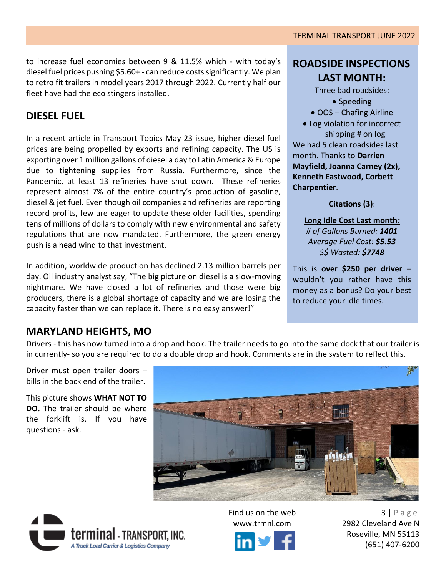## <span id="page-2-0"></span>**DIESEL FUEL**

In a recent article in Transport Topics May 23 issue, higher diesel fuel prices are being propelled by exports and refining capacity. The US is exporting over 1 million gallons of diesel a day to Latin America & Europe due to tightening supplies from Russia. Furthermore, since the Pandemic, at least 13 refineries have shut down. These refineries represent almost 7% of the entire country's production of gasoline, diesel & jet fuel. Even though oil companies and refineries are reporting record profits, few are eager to update these older facilities, spending tens of millions of dollars to comply with new environmental and safety regulations that are now mandated. Furthermore, the green energy push is a head wind to that investment.

In addition, worldwide production has declined 2.13 million barrels per day. Oil industry analyst say, "The big picture on diesel is a slow-moving nightmare. We have closed a lot of refineries and those were big producers, there is a global shortage of capacity and we are losing the capacity faster than we can replace it. There is no easy answer!"

# **ROADSIDE INSPECTIONS LAST MONTH:**

Three bad roadsides:

- Speeding
- OOS Chafing Airline
- Log violation for incorrect shipping # on log We had 5 clean roadsides last month. Thanks to **Darrien Mayfield, Joanna Carney (2x), Kenneth Eastwood, Corbett Charpentier**.

**Citations (3)**:

**Long Idle Cost Last month***: # of Gallons Burned: 1401 Average Fuel Cost: \$5.53 \$\$ Wasted: \$7748*

This is **over \$250 per driver** – wouldn't you rather have this money as a bonus? Do your best to reduce your idle times.

### <span id="page-2-1"></span>**MARYLAND HEIGHTS, MO**

Drivers - this has now turned into a drop and hook. The trailer needs to go into the same dock that our trailer is in currently- so you are required to do a double drop and hook. Comments are in the system to reflect this.

Driver must open trailer doors – bills in the back end of the trailer.

This picture shows **WHAT NOT TO DO.** The trailer should be where the forklift is. If you have questions - ask.







Find us on the web  $3 | P \text{ a } g \text{ e}$ www.trmnl.com 2982 Cleveland Ave N Roseville, MN 55113 (651) 407-6200